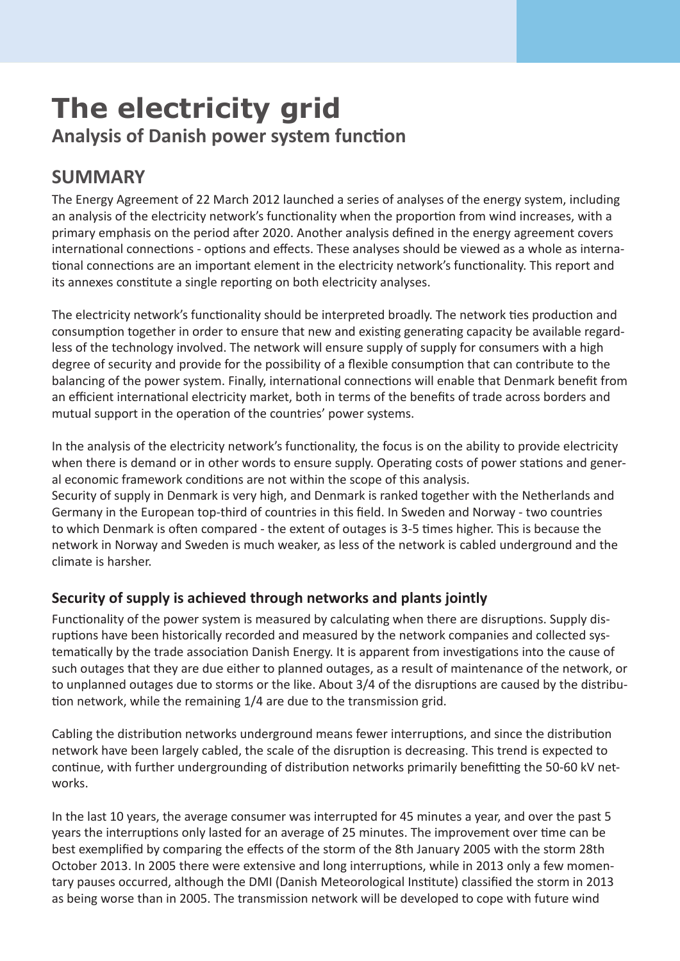# **The electricity grid Analysis of Danish power system function**

# **SUMMARY**

The Energy Agreement of 22 March 2012 launched a series of analyses of the energy system, including an analysis of the electricity network's functionality when the proportion from wind increases, with a primary emphasis on the period after 2020. Another analysis defined in the energy agreement covers international connections - options and effects. These analyses should be viewed as a whole as international connections are an important element in the electricity network's functionality. This report and its annexes constitute a single reporting on both electricity analyses.

The electricity network's functionality should be interpreted broadly. The network ties production and consumption together in order to ensure that new and existing generating capacity be available regardless of the technology involved. The network will ensure supply of supply for consumers with a high degree of security and provide for the possibility of a flexible consumption that can contribute to the balancing of the power system. Finally, international connections will enable that Denmark benefit from an efficient international electricity market, both in terms of the benefits of trade across borders and mutual support in the operation of the countries' power systems.

In the analysis of the electricity network's functionality, the focus is on the ability to provide electricity when there is demand or in other words to ensure supply. Operating costs of power stations and general economic framework conditions are not within the scope of this analysis.

Security of supply in Denmark is very high, and Denmark is ranked together with the Netherlands and Germany in the European top-third of countries in this field. In Sweden and Norway - two countries to which Denmark is often compared - the extent of outages is 3-5 times higher. This is because the network in Norway and Sweden is much weaker, as less of the network is cabled underground and the climate is harsher.

## **Security of supply is achieved through networks and plants jointly**

Functionality of the power system is measured by calculating when there are disruptions. Supply disruptions have been historically recorded and measured by the network companies and collected systematically by the trade association Danish Energy. It is apparent from investigations into the cause of such outages that they are due either to planned outages, as a result of maintenance of the network, or to unplanned outages due to storms or the like. About 3/4 of the disruptions are caused by the distribution network, while the remaining 1/4 are due to the transmission grid.

Cabling the distribution networks underground means fewer interruptions, and since the distribution network have been largely cabled, the scale of the disruption is decreasing. This trend is expected to continue, with further undergrounding of distribution networks primarily benefitting the 50-60 kV networks.

In the last 10 years, the average consumer was interrupted for 45 minutes a year, and over the past 5 years the interruptions only lasted for an average of 25 minutes. The improvement over time can be best exemplified by comparing the effects of the storm of the 8th January 2005 with the storm 28th October 2013. In 2005 there were extensive and long interruptions, while in 2013 only a few momentary pauses occurred, although the DMI (Danish Meteorological Institute) classified the storm in 2013 as being worse than in 2005. The transmission network will be developed to cope with future wind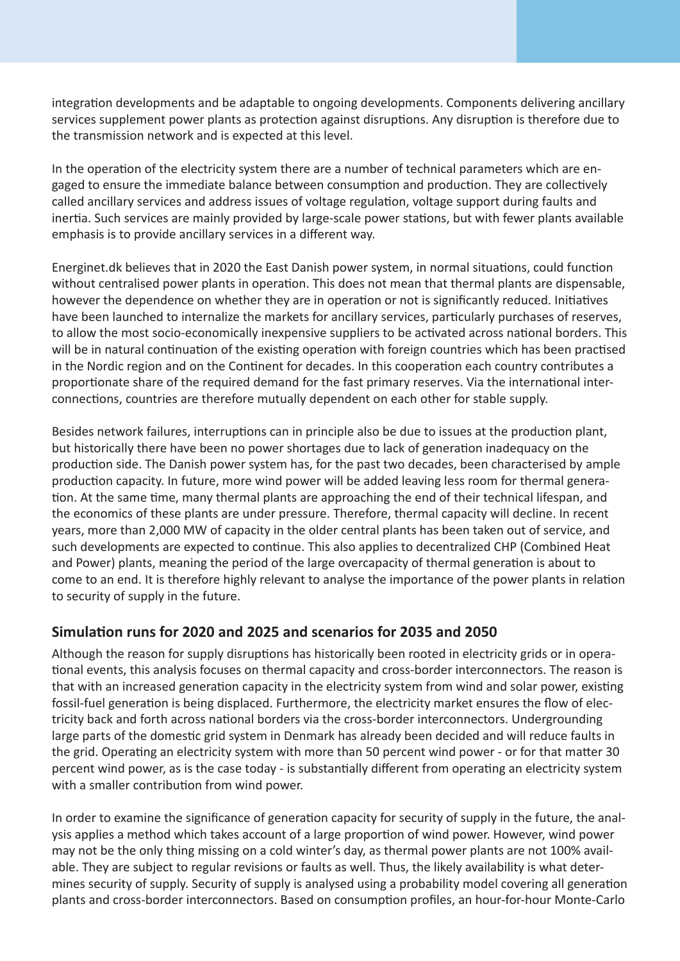integration developments and be adaptable to ongoing developments. Components delivering ancillary services supplement power plants as protection against disruptions. Any disruption is therefore due to the transmission network and is expected at this level.

In the operation of the electricity system there are a number of technical parameters which are engaged to ensure the immediate balance between consumption and production. They are collectively called ancillary services and address issues of voltage regulation, voltage support during faults and inertia. Such services are mainly provided by large-scale power stations, but with fewer plants available emphasis is to provide ancillary services in a different way.

Energinet.dk believes that in 2020 the East Danish power system, in normal situations, could function without centralised power plants in operation. This does not mean that thermal plants are dispensable, however the dependence on whether they are in operation or not is significantly reduced. Initiatives have been launched to internalize the markets for ancillary services, particularly purchases of reserves, to allow the most socio-economically inexpensive suppliers to be activated across national borders. This will be in natural continuation of the existing operation with foreign countries which has been practised in the Nordic region and on the Continent for decades. In this cooperation each country contributes a proportionate share of the required demand for the fast primary reserves. Via the international interconnections, countries are therefore mutually dependent on each other for stable supply.

Besides network failures, interruptions can in principle also be due to issues at the production plant, but historically there have been no power shortages due to lack of generation inadequacy on the production side. The Danish power system has, for the past two decades, been characterised by ample production capacity. In future, more wind power will be added leaving less room for thermal generation. At the same time, many thermal plants are approaching the end of their technical lifespan, and the economics of these plants are under pressure. Therefore, thermal capacity will decline. In recent years, more than 2,000 MW of capacity in the older central plants has been taken out of service, and such developments are expected to continue. This also applies to decentralized CHP (Combined Heat and Power) plants, meaning the period of the large overcapacity of thermal generation is about to come to an end. It is therefore highly relevant to analyse the importance of the power plants in relation to security of supply in the future.

### **Simulation runs for 2020 and 2025 and scenarios for 2035 and 2050**

Although the reason for supply disruptions has historically been rooted in electricity grids or in operational events, this analysis focuses on thermal capacity and cross-border interconnectors. The reason is that with an increased generation capacity in the electricity system from wind and solar power, existing fossil-fuel generation is being displaced. Furthermore, the electricity market ensures the flow of electricity back and forth across national borders via the cross-border interconnectors. Undergrounding large parts of the domestic grid system in Denmark has already been decided and will reduce faults in the grid. Operating an electricity system with more than 50 percent wind power - or for that matter 30 percent wind power, as is the case today - is substantially different from operating an electricity system with a smaller contribution from wind power.

In order to examine the significance of generation capacity for security of supply in the future, the analysis applies a method which takes account of a large proportion of wind power. However, wind power may not be the only thing missing on a cold winter's day, as thermal power plants are not 100% available. They are subject to regular revisions or faults as well. Thus, the likely availability is what determines security of supply. Security of supply is analysed using a probability model covering all generation plants and cross-border interconnectors. Based on consumption profiles, an hour-for-hour Monte-Carlo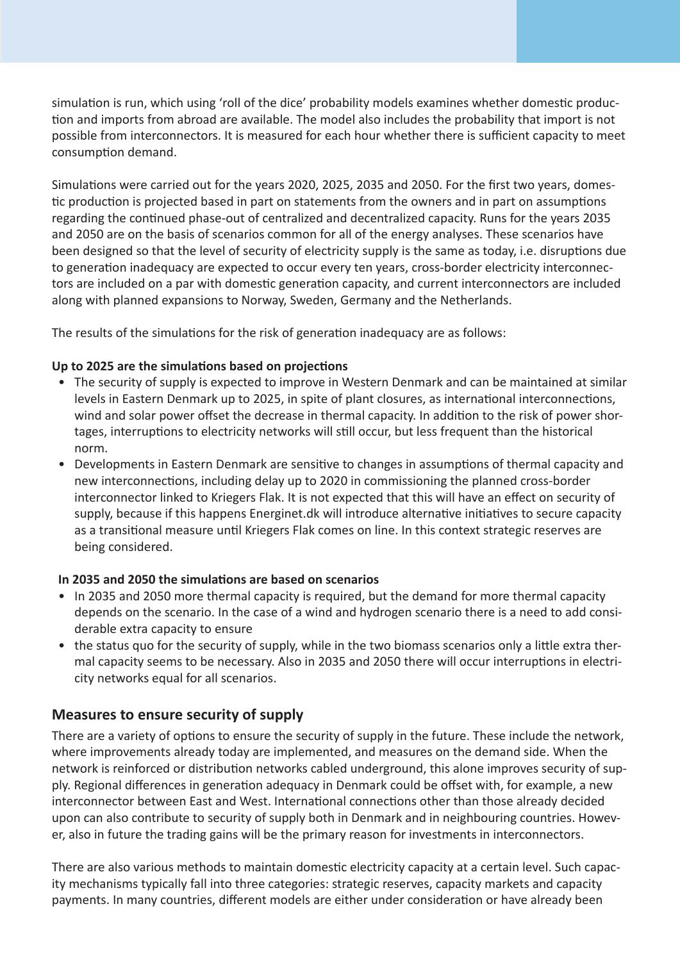simulation is run, which using 'roll of the dice' probability models examines whether domestic production and imports from abroad are available. The model also includes the probability that import is not possible from interconnectors. It is measured for each hour whether there is sufficient capacity to meet consumption demand.

Simulations were carried out for the years 2020, 2025, 2035 and 2050. For the first two years, domestic production is projected based in part on statements from the owners and in part on assumptions regarding the continued phase-out of centralized and decentralized capacity. Runs for the years 2035 and 2050 are on the basis of scenarios common for all of the energy analyses. These scenarios have been designed so that the level of security of electricity supply is the same as today, i.e. disruptions due to generation inadequacy are expected to occur every ten years, cross-border electricity interconnectors are included on a par with domestic generation capacity, and current interconnectors are included along with planned expansions to Norway, Sweden, Germany and the Netherlands.

The results of the simulations for the risk of generation inadequacy are as follows:

#### **Up to 2025 are the simulations based on projections**

- The security of supply is expected to improve in Western Denmark and can be maintained at similar levels in Eastern Denmark up to 2025, in spite of plant closures, as international interconnections, wind and solar power offset the decrease in thermal capacity. In addition to the risk of power shortages, interruptions to electricity networks will still occur, but less frequent than the historical norm.
- Developments in Eastern Denmark are sensitive to changes in assumptions of thermal capacity and new interconnections, including delay up to 2020 in commissioning the planned cross-border interconnector linked to Kriegers Flak. It is not expected that this will have an effect on security of supply, because if this happens Energinet.dk will introduce alternative initiatives to secure capacity as a transitional measure until Kriegers Flak comes on line. In this context strategic reserves are being considered.

#### **In 2035 and 2050 the simulations are based on scenarios**

- In 2035 and 2050 more thermal capacity is required, but the demand for more thermal capacity depends on the scenario. In the case of a wind and hydrogen scenario there is a need to add considerable extra capacity to ensure
- the status quo for the security of supply, while in the two biomass scenarios only a little extra thermal capacity seems to be necessary. Also in 2035 and 2050 there will occur interruptions in electricity networks equal for all scenarios.

#### **Measures to ensure security of supply**

There are a variety of options to ensure the security of supply in the future. These include the network, where improvements already today are implemented, and measures on the demand side. When the network is reinforced or distribution networks cabled underground, this alone improves security of supply. Regional differences in generation adequacy in Denmark could be offset with, for example, a new interconnector between East and West. International connections other than those already decided upon can also contribute to security of supply both in Denmark and in neighbouring countries. However, also in future the trading gains will be the primary reason for investments in interconnectors.

There are also various methods to maintain domestic electricity capacity at a certain level. Such capacity mechanisms typically fall into three categories: strategic reserves, capacity markets and capacity payments. In many countries, different models are either under consideration or have already been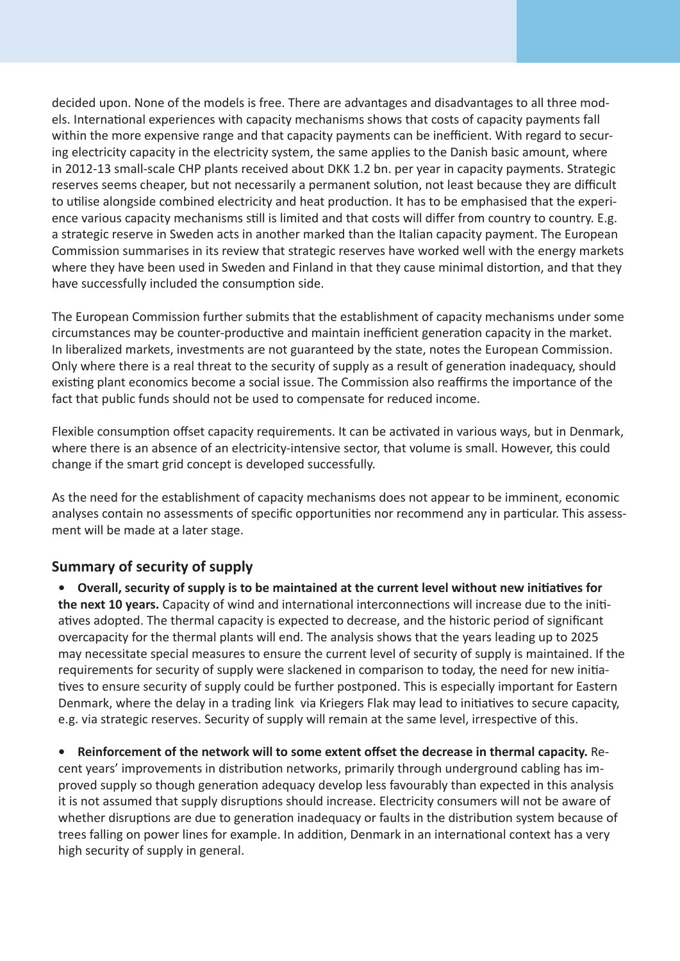decided upon. None of the models is free. There are advantages and disadvantages to all three models. International experiences with capacity mechanisms shows that costs of capacity payments fall within the more expensive range and that capacity payments can be inefficient. With regard to securing electricity capacity in the electricity system, the same applies to the Danish basic amount, where in 2012-13 small-scale CHP plants received about DKK 1.2 bn. per year in capacity payments. Strategic reserves seems cheaper, but not necessarily a permanent solution, not least because they are difficult to utilise alongside combined electricity and heat production. It has to be emphasised that the experience various capacity mechanisms still is limited and that costs will differ from country to country. E.g. a strategic reserve in Sweden acts in another marked than the Italian capacity payment. The European Commission summarises in its review that strategic reserves have worked well with the energy markets where they have been used in Sweden and Finland in that they cause minimal distortion, and that they have successfully included the consumption side.

The European Commission further submits that the establishment of capacity mechanisms under some circumstances may be counter-productive and maintain inefficient generation capacity in the market. In liberalized markets, investments are not guaranteed by the state, notes the European Commission. Only where there is a real threat to the security of supply as a result of generation inadequacy, should existing plant economics become a social issue. The Commission also reaffirms the importance of the fact that public funds should not be used to compensate for reduced income.

Flexible consumption offset capacity requirements. It can be activated in various ways, but in Denmark, where there is an absence of an electricity-intensive sector, that volume is small. However, this could change if the smart grid concept is developed successfully.

As the need for the establishment of capacity mechanisms does not appear to be imminent, economic analyses contain no assessments of specific opportunities nor recommend any in particular. This assessment will be made at a later stage.

#### **Summary of security of supply**

**• Overall, security of supply is to be maintained at the current level without new initiatives for the next 10 years.** Capacity of wind and international interconnections will increase due to the initiatives adopted. The thermal capacity is expected to decrease, and the historic period of significant overcapacity for the thermal plants will end. The analysis shows that the years leading up to 2025 may necessitate special measures to ensure the current level of security of supply is maintained. If the requirements for security of supply were slackened in comparison to today, the need for new initiatives to ensure security of supply could be further postponed. This is especially important for Eastern Denmark, where the delay in a trading link via Kriegers Flak may lead to initiatives to secure capacity, e.g. via strategic reserves. Security of supply will remain at the same level, irrespective of this.

**• Reinforcement of the network will to some extent offset the decrease in thermal capacity.** Recent years' improvements in distribution networks, primarily through underground cabling has improved supply so though generation adequacy develop less favourably than expected in this analysis it is not assumed that supply disruptions should increase. Electricity consumers will not be aware of whether disruptions are due to generation inadequacy or faults in the distribution system because of trees falling on power lines for example. In addition, Denmark in an international context has a very high security of supply in general.